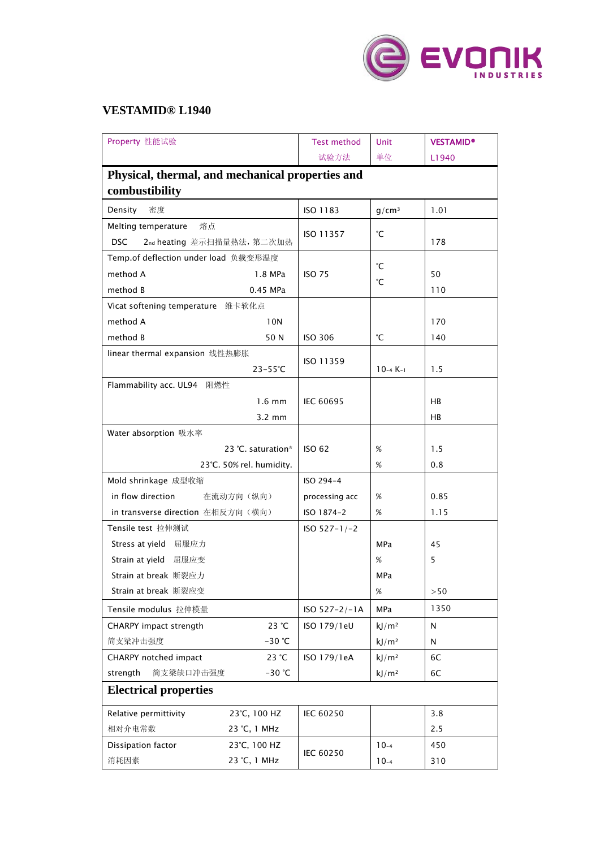

## **VESTAMID® L1940**

| Property 性能试验                                    | <b>Test method</b> | Unit              | <b>VESTAMID®</b> |  |  |  |
|--------------------------------------------------|--------------------|-------------------|------------------|--|--|--|
|                                                  | 试验方法               | 单位                | L1940            |  |  |  |
| Physical, thermal, and mechanical properties and |                    |                   |                  |  |  |  |
| combustibility                                   |                    |                   |                  |  |  |  |
| 密度<br>Density                                    | ISO 1183           | q/cm <sup>3</sup> | 1.01             |  |  |  |
| Melting temperature<br>熔点                        |                    |                   |                  |  |  |  |
| <b>DSC</b><br>2nd heating 差示扫描量热法, 第二次加热         | ISO 11357          | °С                | 178              |  |  |  |
| Temp.of deflection under load 负载变形温度             |                    | °С                |                  |  |  |  |
| method A<br>1.8 MPa                              | <b>ISO 75</b>      |                   | 50               |  |  |  |
| method B<br>0.45 MPa                             |                    | °С                | 110              |  |  |  |
| Vicat softening temperature 维卡软化点                |                    |                   |                  |  |  |  |
| method A<br>10N                                  |                    |                   | 170              |  |  |  |
| method B<br>50 N                                 | <b>ISO 306</b>     | °С                | 140              |  |  |  |
| linear thermal expansion 线性热膨胀                   |                    |                   |                  |  |  |  |
| $23 - 55^{\circ}C$                               | ISO 11359          | $10 - 4K - 1$     | 1.5              |  |  |  |
| Flammability acc. UL94 阻燃性                       |                    |                   |                  |  |  |  |
| $1.6 \text{ mm}$                                 | <b>IEC 60695</b>   |                   | HB               |  |  |  |
| $3.2 \text{ mm}$                                 |                    |                   | HB               |  |  |  |
| Water absorption 吸水率                             |                    |                   |                  |  |  |  |
| 23 °C. saturation*                               | <b>ISO 62</b>      | $\%$              | 1.5              |  |  |  |
| 23°C. 50% rel. humidity.                         |                    | %                 | 0.8              |  |  |  |
| Mold shrinkage 成型收缩                              | ISO 294-4          |                   |                  |  |  |  |
| in flow direction<br>在流动方向(纵向)                   | processing acc     | %                 | 0.85             |  |  |  |
| in transverse direction 在相反方向(横向)                | ISO 1874-2         | $\%$              | 1.15             |  |  |  |
| Tensile test 拉伸测试                                | $ISO 527-1/-2$     |                   |                  |  |  |  |
| Stress at yield 屈服应力                             |                    | MPa               | 45               |  |  |  |
| Strain at yield 屈服应变                             |                    | %                 | 5                |  |  |  |
| Strain at break 断裂应力                             |                    | MPa               |                  |  |  |  |
| Strain at break 断裂应变                             |                    | %                 | >50              |  |  |  |
| Tensile modulus 拉伸模量                             | $ISO 527 - 2/-1A$  | <b>MPa</b>        | 1350             |  |  |  |
| CHARPY impact strength<br>23 °C                  | ISO 179/1eU        | kJ/m <sup>2</sup> | N                |  |  |  |
| 简支梁冲击强度<br>$-30$ °C                              |                    | kJ/m <sup>2</sup> | N                |  |  |  |
| 23 °C<br>CHARPY notched impact                   | ISO 179/1eA        | kJ/m <sup>2</sup> | 6C               |  |  |  |
| strength<br>简支梁缺口冲击强度<br>$-30$ °C                |                    | kJ/m <sup>2</sup> | 6C               |  |  |  |
| <b>Electrical properties</b>                     |                    |                   |                  |  |  |  |
| Relative permittivity<br>23°C, 100 HZ            | IEC 60250          |                   | 3.8              |  |  |  |
| 相对介电常数<br>23 °C, 1 MHz                           |                    |                   | 2.5              |  |  |  |
| Dissipation factor<br>23°C, 100 HZ               | IEC 60250          | $10-4$            | 450              |  |  |  |
| 消耗因素<br>23 °C, 1 MHz                             |                    | $10-4$            | 310              |  |  |  |